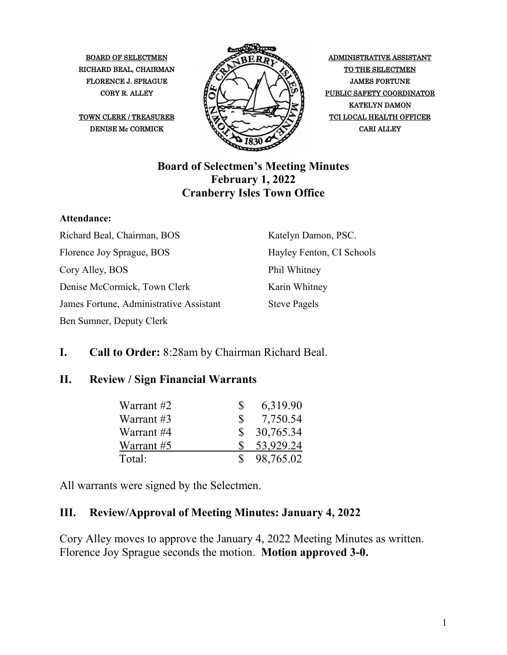

CORY R. ALLEY **ALLEY ALLEY PUBLIC SAFETY COORDINATOR** KATELYN DAMON

#### **Board of Selectmen's Meeting Minutes February 1, 2022 Cranberry Isles Town Office**

#### **Attendance:**

Richard Beal, Chairman, BOS Florence Joy Sprague, BOS Cory Alley, BOS Denise McCormick, Town Clerk James Fortune, Administrative Assistant Ben Sumner, Deputy Clerk

Katelyn Damon, PSC. Hayley Fenton, CI Schools Phil Whitney Karin Whitney Steve Pagels

### **I. Call to Order:** 8:28am by Chairman Richard Beal.

#### **II. Review / Sign Financial Warrants**

| Warrant #2 | Ж            | 6,319.90  |
|------------|--------------|-----------|
| Warrant #3 | <sup>S</sup> | 7,750.54  |
| Warrant #4 | SS.          | 30,765.34 |
| Warrant #5 |              | 53,929.24 |
| Total:     | S.           | 98,765.02 |

All warrants were signed by the Selectmen.

#### **III. Review/Approval of Meeting Minutes: January 4, 2022**

Cory Alley moves to approve the January 4, 2022 Meeting Minutes as written. Florence Joy Sprague seconds the motion. **Motion approved 3-0.**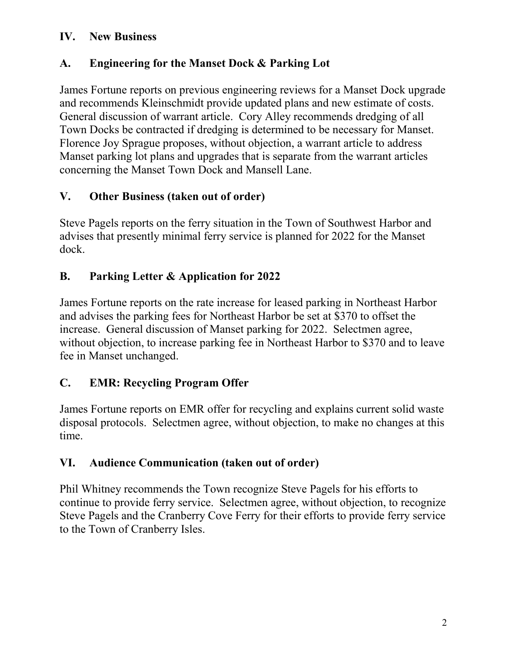#### **IV. New Business**

#### **A. Engineering for the Manset Dock & Parking Lot**

James Fortune reports on previous engineering reviews for a Manset Dock upgrade and recommends Kleinschmidt provide updated plans and new estimate of costs. General discussion of warrant article. Cory Alley recommends dredging of all Town Docks be contracted if dredging is determined to be necessary for Manset. Florence Joy Sprague proposes, without objection, a warrant article to address Manset parking lot plans and upgrades that is separate from the warrant articles concerning the Manset Town Dock and Mansell Lane.

### **V. Other Business (taken out of order)**

Steve Pagels reports on the ferry situation in the Town of Southwest Harbor and advises that presently minimal ferry service is planned for 2022 for the Manset dock.

### **B. Parking Letter & Application for 2022**

James Fortune reports on the rate increase for leased parking in Northeast Harbor and advises the parking fees for Northeast Harbor be set at \$370 to offset the increase. General discussion of Manset parking for 2022. Selectmen agree, without objection, to increase parking fee in Northeast Harbor to \$370 and to leave fee in Manset unchanged.

#### **C. EMR: Recycling Program Offer**

James Fortune reports on EMR offer for recycling and explains current solid waste disposal protocols. Selectmen agree, without objection, to make no changes at this time.

#### **VI. Audience Communication (taken out of order)**

Phil Whitney recommends the Town recognize Steve Pagels for his efforts to continue to provide ferry service. Selectmen agree, without objection, to recognize Steve Pagels and the Cranberry Cove Ferry for their efforts to provide ferry service to the Town of Cranberry Isles.